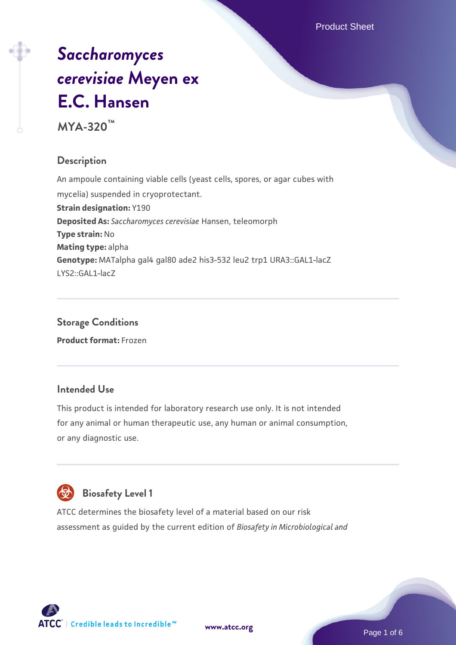# *[Saccharomyces](https://www.atcc.org/products/mya-320) [cerevisiae](https://www.atcc.org/products/mya-320)* **[Meyen ex](https://www.atcc.org/products/mya-320) [E.C. Hansen](https://www.atcc.org/products/mya-320)**

**MYA-320™**

#### **Description**

An ampoule containing viable cells (yeast cells, spores, or agar cubes with mycelia) suspended in cryoprotectant. **Strain designation:** Y190 **Deposited As:** *Saccharomyces cerevisiae* Hansen, teleomorph **Type strain:** No **Mating type:** alpha **Genotype:** MATalpha gal4 gal80 ade2 his3-532 leu2 trp1 URA3::GAL1-lacZ LYS2::GAL1-lacZ

#### **Storage Conditions Product format:** Frozen

#### **Intended Use**

This product is intended for laboratory research use only. It is not intended for any animal or human therapeutic use, any human or animal consumption, or any diagnostic use.



### **Biosafety Level 1**

ATCC determines the biosafety level of a material based on our risk assessment as guided by the current edition of *Biosafety in Microbiological and*

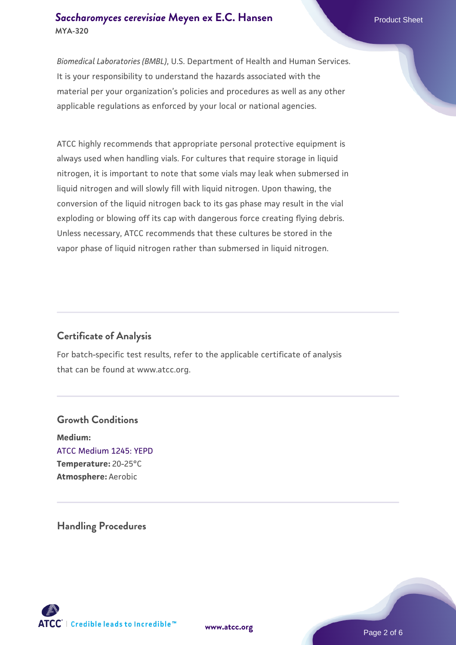#### **[Saccharomyces cerevisiae](https://www.atcc.org/products/mya-320)** [Meyen ex E.C. Hansen](https://www.atcc.org/products/mya-320) **MYA-320**

*Biomedical Laboratories (BMBL)*, U.S. Department of Health and Human Services. It is your responsibility to understand the hazards associated with the material per your organization's policies and procedures as well as any other applicable regulations as enforced by your local or national agencies.

ATCC highly recommends that appropriate personal protective equipment is always used when handling vials. For cultures that require storage in liquid nitrogen, it is important to note that some vials may leak when submersed in liquid nitrogen and will slowly fill with liquid nitrogen. Upon thawing, the conversion of the liquid nitrogen back to its gas phase may result in the vial exploding or blowing off its cap with dangerous force creating flying debris. Unless necessary, ATCC recommends that these cultures be stored in the vapor phase of liquid nitrogen rather than submersed in liquid nitrogen.

#### **Certificate of Analysis**

For batch-specific test results, refer to the applicable certificate of analysis that can be found at www.atcc.org.

#### **Growth Conditions**

**Medium:**  [ATCC Medium 1245: YEPD](https://www.atcc.org/-/media/product-assets/documents/microbial-media-formulations/1/2/4/5/atcc-medium-1245.pdf?rev=705ca55d1b6f490a808a965d5c072196) **Temperature:** 20-25°C **Atmosphere:** Aerobic

#### **Handling Procedures**



**[www.atcc.org](http://www.atcc.org)**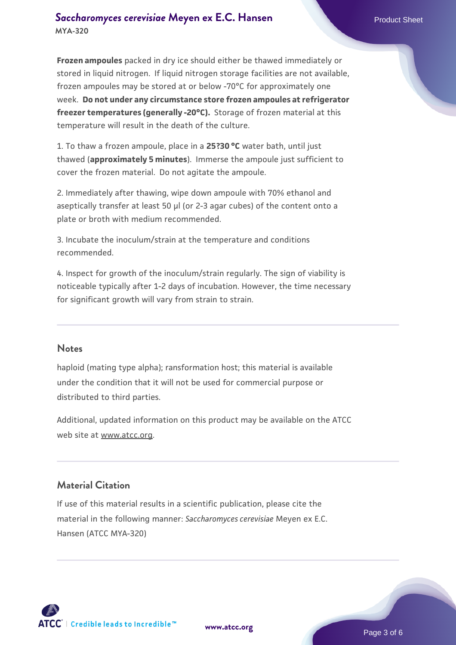#### **[Saccharomyces cerevisiae](https://www.atcc.org/products/mya-320)** [Meyen ex E.C. Hansen](https://www.atcc.org/products/mya-320) **MYA-320**

**Frozen ampoules** packed in dry ice should either be thawed immediately or stored in liquid nitrogen. If liquid nitrogen storage facilities are not available, frozen ampoules may be stored at or below -70°C for approximately one week. **Do not under any circumstance store frozen ampoules at refrigerator freezer temperatures (generally -20°C).** Storage of frozen material at this temperature will result in the death of the culture.

1. To thaw a frozen ampoule, place in a **25?30 °C** water bath, until just thawed (**approximately 5 minutes**). Immerse the ampoule just sufficient to cover the frozen material. Do not agitate the ampoule.

2. Immediately after thawing, wipe down ampoule with 70% ethanol and aseptically transfer at least 50 µl (or 2-3 agar cubes) of the content onto a plate or broth with medium recommended.

3. Incubate the inoculum/strain at the temperature and conditions recommended.

4. Inspect for growth of the inoculum/strain regularly. The sign of viability is noticeable typically after 1-2 days of incubation. However, the time necessary for significant growth will vary from strain to strain.

#### **Notes**

haploid (mating type alpha); ransformation host; this material is available under the condition that it will not be used for commercial purpose or distributed to third parties.

Additional, updated information on this product may be available on the ATCC web site at www.atcc.org.

#### **Material Citation**

If use of this material results in a scientific publication, please cite the material in the following manner: *Saccharomyces cerevisiae* Meyen ex E.C. Hansen (ATCC MYA-320)

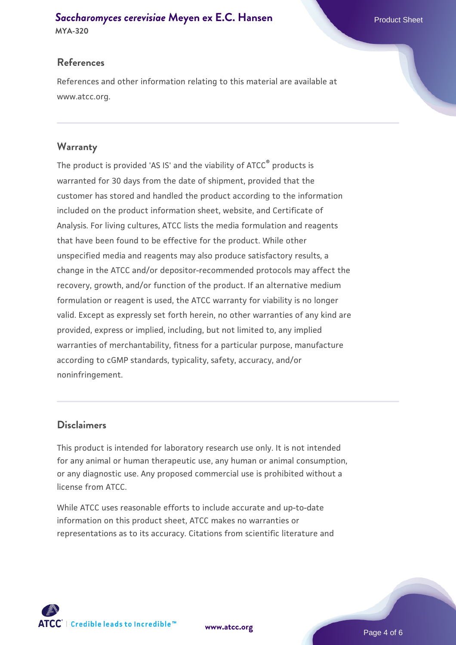## **[Saccharomyces cerevisiae](https://www.atcc.org/products/mya-320)** [Meyen ex E.C. Hansen](https://www.atcc.org/products/mya-320)

**MYA-320**

#### **References**

References and other information relating to this material are available at www.atcc.org.

#### **Warranty**

The product is provided 'AS IS' and the viability of ATCC® products is warranted for 30 days from the date of shipment, provided that the customer has stored and handled the product according to the information included on the product information sheet, website, and Certificate of Analysis. For living cultures, ATCC lists the media formulation and reagents that have been found to be effective for the product. While other unspecified media and reagents may also produce satisfactory results, a change in the ATCC and/or depositor-recommended protocols may affect the recovery, growth, and/or function of the product. If an alternative medium formulation or reagent is used, the ATCC warranty for viability is no longer valid. Except as expressly set forth herein, no other warranties of any kind are provided, express or implied, including, but not limited to, any implied warranties of merchantability, fitness for a particular purpose, manufacture according to cGMP standards, typicality, safety, accuracy, and/or noninfringement.

#### **Disclaimers**

This product is intended for laboratory research use only. It is not intended for any animal or human therapeutic use, any human or animal consumption, or any diagnostic use. Any proposed commercial use is prohibited without a license from ATCC.

While ATCC uses reasonable efforts to include accurate and up-to-date information on this product sheet, ATCC makes no warranties or representations as to its accuracy. Citations from scientific literature and

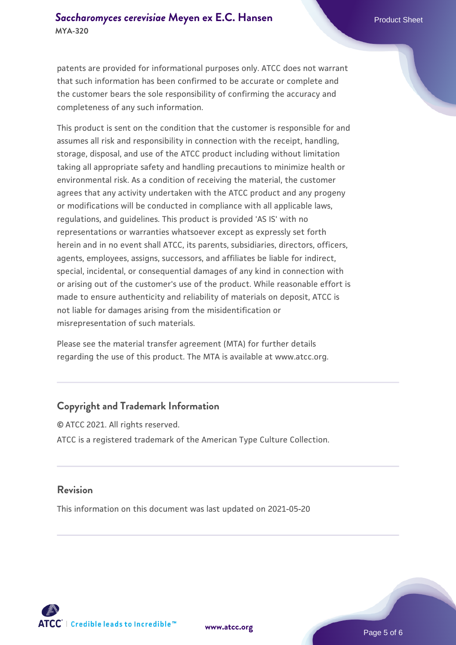patents are provided for informational purposes only. ATCC does not warrant that such information has been confirmed to be accurate or complete and the customer bears the sole responsibility of confirming the accuracy and completeness of any such information.

This product is sent on the condition that the customer is responsible for and assumes all risk and responsibility in connection with the receipt, handling, storage, disposal, and use of the ATCC product including without limitation taking all appropriate safety and handling precautions to minimize health or environmental risk. As a condition of receiving the material, the customer agrees that any activity undertaken with the ATCC product and any progeny or modifications will be conducted in compliance with all applicable laws, regulations, and guidelines. This product is provided 'AS IS' with no representations or warranties whatsoever except as expressly set forth herein and in no event shall ATCC, its parents, subsidiaries, directors, officers, agents, employees, assigns, successors, and affiliates be liable for indirect, special, incidental, or consequential damages of any kind in connection with or arising out of the customer's use of the product. While reasonable effort is made to ensure authenticity and reliability of materials on deposit, ATCC is not liable for damages arising from the misidentification or misrepresentation of such materials.

Please see the material transfer agreement (MTA) for further details regarding the use of this product. The MTA is available at www.atcc.org.

#### **Copyright and Trademark Information**

© ATCC 2021. All rights reserved. ATCC is a registered trademark of the American Type Culture Collection.

#### **Revision**

This information on this document was last updated on 2021-05-20



**[www.atcc.org](http://www.atcc.org)**